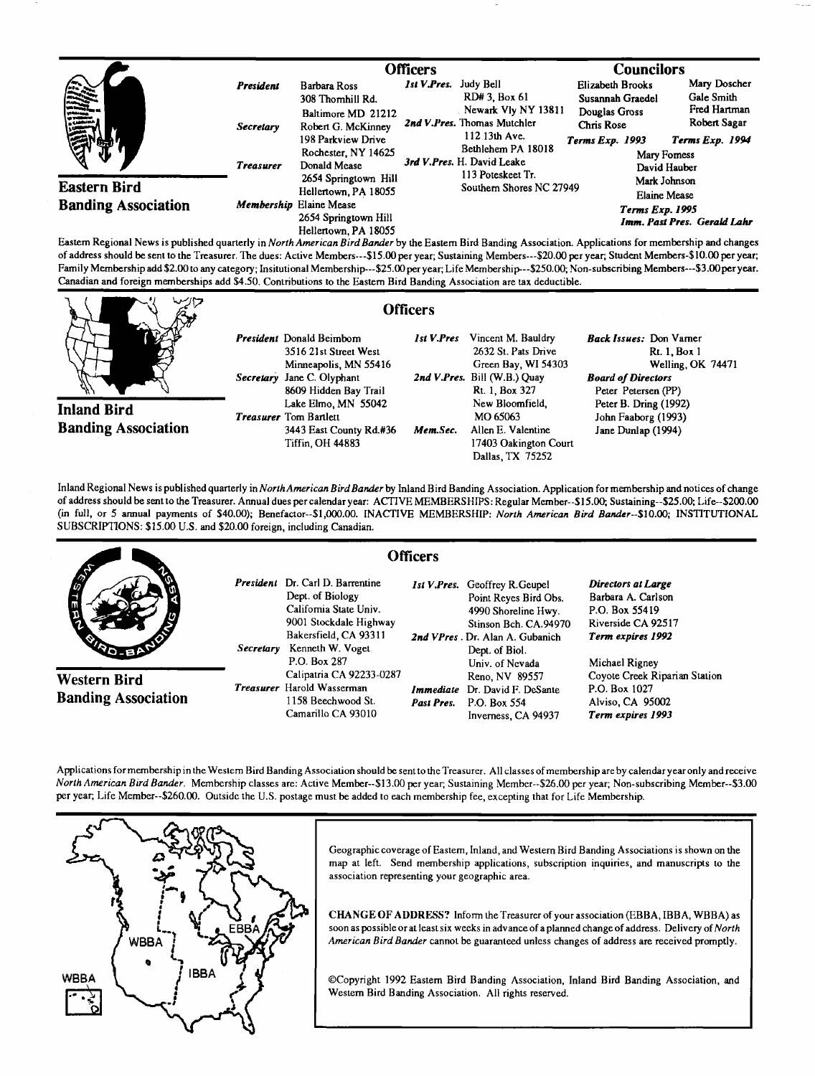|                            |                               |                                                                              | <b>Officers</b>       |                                                                                          | <b>Councilors</b>                                                   |                                                            |
|----------------------------|-------------------------------|------------------------------------------------------------------------------|-----------------------|------------------------------------------------------------------------------------------|---------------------------------------------------------------------|------------------------------------------------------------|
| <b>ARRIVES</b>             | President<br><b>Secretary</b> | Barbara Ross<br>308 Thomhill Rd.<br>Baltimore MD 21212<br>Robert G. McKinney | Ist V.Pres. Judy Bell | RD# 3, Box 61<br>Newark Vly NY 13811<br>2nd V.Pres. Thomas Mutchler                      | Elizabeth Brooks<br>Susannah Graedel<br>Douglas Gross<br>Chris Rose | Mary Doscher<br>Gale Smith<br>Fred Hartman<br>Robert Sagar |
|                            | <b>Treasurer</b>              | 198 Parkview Drive<br>Rochester, NY 14625<br>Donald Mease                    |                       | $112$ 13th Ave.<br>Bethlehem PA 18018<br>3rd V.Pres. H. David Leake<br>113 Poteskeet Tr. | Terms Exp. 1993                                                     | Terms Exp. 1994<br>Mary Forness<br>David Hauber            |
| <b>Eastern Bird</b>        |                               | 2654 Springtown Hill<br>Hellertown, PA 18055                                 |                       | Southern Shores NC 27949                                                                 |                                                                     | Mark Johnson<br><b>Elaine Mease</b>                        |
| <b>Banding Association</b> |                               | Membership Elaine Mease<br>2654 Springtown Hill<br>Hellertown, PA 18055      |                       |                                                                                          | <b>Terms Exp. 1995</b>                                              | Imm. Past Pres. Gerald Lahr                                |

**Eastern Regional News is published quarterly in North American Bird Bander by the Eastern Bird Banding Association. Applications for membership and changes of address should be sent to the Treasurer. The dues: Active Members---S15.00 per year; Sustaining Members---S20.00 peryear; Student Members-\$10.00 per year;**  Family Membership add \$2.00 to any category; Insitutional Membership---\$25.00 per year; Life Membership---\$250.00; Non-subscribing Members---\$3.00 per year. **Canadian and foreign memberships add \$4.50. Contributions to the Eastern Bird Banding Association are tax deductible.** 

|                                                  | <b>Officers</b>                                                                                                                                                       |                   |                                                                                                  |                                                                                                  |  |
|--------------------------------------------------|-----------------------------------------------------------------------------------------------------------------------------------------------------------------------|-------------------|--------------------------------------------------------------------------------------------------|--------------------------------------------------------------------------------------------------|--|
|                                                  | <b>President</b> Donald Beimborn<br>3516 21st Street West<br>Minneapolis, MN 55416                                                                                    | <b>Ist V.Pres</b> | Vincent M. Bauldry<br>2632 St. Pats Drive<br>Green Bay, WI 54303<br>2nd V.Pres. Bill (W.B.) Quay | <b>Back Issues: Don Varner</b><br>Rt. 1. Box 1<br>Welling, OK 74471                              |  |
| <b>Inland Bird</b><br><b>Banding Association</b> | Secretary Jane C. Olyphant<br>8609 Hidden Bay Trail<br>Lake Elmo, MN 55042<br><b>Treasurer</b> Tom Bartlett                                                           |                   | Rt. 1, Box 327<br>New Bloomfield.<br>MO 65063                                                    | <b>Board of Directors</b><br>Peter Petersen (PP)<br>Peter B. Dring (1992)<br>John Faaborg (1993) |  |
|                                                  | 3443 East County Rd.#36<br><b>Tiffin, OH 44883</b>                                                                                                                    | Mem.Sec.          | Allen E. Valentine<br>17403 Oakington Court<br>Dallas, TX 75252                                  | Jane Dunlap (1994)                                                                               |  |
|                                                  | Inland Regional News is published quarterly in <i>North American Rird Rander</i> by Inland Rird Randing Association, Application for membership and notices of change |                   |                                                                                                  |                                                                                                  |  |

**Inland Regional News is published quarterly in NorthAmerican Bird Bander by Inland Bird Banding Association. Application for membership and notices of change of address should be sent to the Treasurer. Annual dues per calendar year: ACTIVE MEMBERSHIPS: Regular Member--S15.00; Sustaining--S25.00; Life--S200.00 (in full, or 5 annual payments of \$40.00); Benefactor--S1,000.00. INACTIVE MEMBERSHIP: North American Bird Bander.-\$10.00; INSTITUTIONAL SUBSCRIPTIONS: \$15.00 U.S. and \$20.00 foreign, including Canadian.** 

|                                            | <b>Officers</b> |                                                                                                                                                             |            |                                                                                                                                                                    |                                                                                                           |
|--------------------------------------------|-----------------|-------------------------------------------------------------------------------------------------------------------------------------------------------------|------------|--------------------------------------------------------------------------------------------------------------------------------------------------------------------|-----------------------------------------------------------------------------------------------------------|
| <b>SOLE</b>                                | Secretary       | <b>President</b> Dr. Carl D. Barrentine<br>Dept. of Biology<br>Califomia State Univ.<br>9001 Stockdale Highway<br>Bakersfield, CA 93311<br>Kenneth W. Voget |            | <b>Ist V.Pres.</b> Geoffrey R.Geupel<br>Point Reves Bird Obs.<br>4990 Shoreline Hwy.<br>Stinson Bch. CA.94970<br>2nd VPres. Dr. Alan A. Gubanich<br>Dept. of Biol. | Directors at Large<br>Barbara A. Carlson<br>P.O. Box 55419<br>Riverside CA 92517<br>Term expires 1992     |
| Western Bird<br><b>Banding Association</b> |                 | P.O. Box 287<br>Calipatria CA 92233-0287<br><b>Treasurer</b> Harold Wasserman<br>1158 Beechwood St.<br>Camarillo CA 93010                                   | Past Pres. | Univ. of Nevada<br>Reno, NV 89557<br><b>Immediate</b> Dr. David F. DeSante.<br>P.O. Box 554<br>Inverness, CA 94937                                                 | Michael Rigney<br>Coyote Creek Riparian Station<br>P.O. Box 1027<br>Alviso, CA 95002<br>Term expires 1993 |

**Applications for membership in the Western Bird Banding Association should be sent to the Treasurer. All classes ofmembership are by calendar year only and receive North American Bird Bander. Membership classes are: Active Member--S13.00 per year; Sustaining Member--S26.00 per year; Non-subscribing Member--S3.00 per year; Life Member--S260.00. Outside the U.S. postage must be added to each membership fee, excepting that for Life Membership.** 



Geographic coverage of Eastern, Inland, and Western Bird Banding Associations is shown on the **map at left. Send membership applications, subscription inquiries, and manuscripts to the association representing your geographic area.** 

**CHANGE OF ADDRESS? Inform the Treasurer of your association (EBBA, IBBA, WBBA) as soon as possible or at least six weeks in advance of a planned change of address. Delivery of North American Bird Bander cannot be guaranteed unless changes of address are received promptly.** 

**¸Copyright 1992 Eastern Bird Banding Association, Inland Bird Banding Association, and Western Bird Banding Association. All rights reserved.**